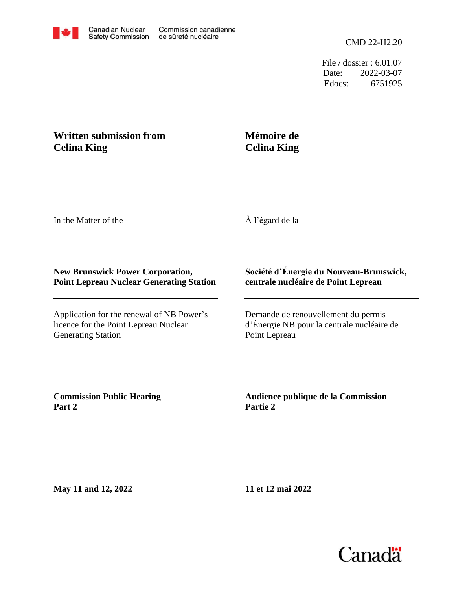

File / dossier : 6.01.07 Date: 2022-03-07 Edocs: 6751925

## **Written submission from Celina King**

## **Mémoire de Celina King**

In the Matter of the

À l'égard de la

## **New Brunswick Power Corporation, Point Lepreau Nuclear Generating Station**

Application for the renewal of NB Power's licence for the Point Lepreau Nuclear Generating Station

## **Société d'Énergie du Nouveau-Brunswick, centrale nucléaire de Point Lepreau**

Demande de renouvellement du permis d'Énergie NB pour la centrale nucléaire de Point Lepreau

**Commission Public Hearing Part 2**

**Audience publique de la Commission Partie 2**

**May 11 and 12, 2022**

**11 et 12 mai 2022**